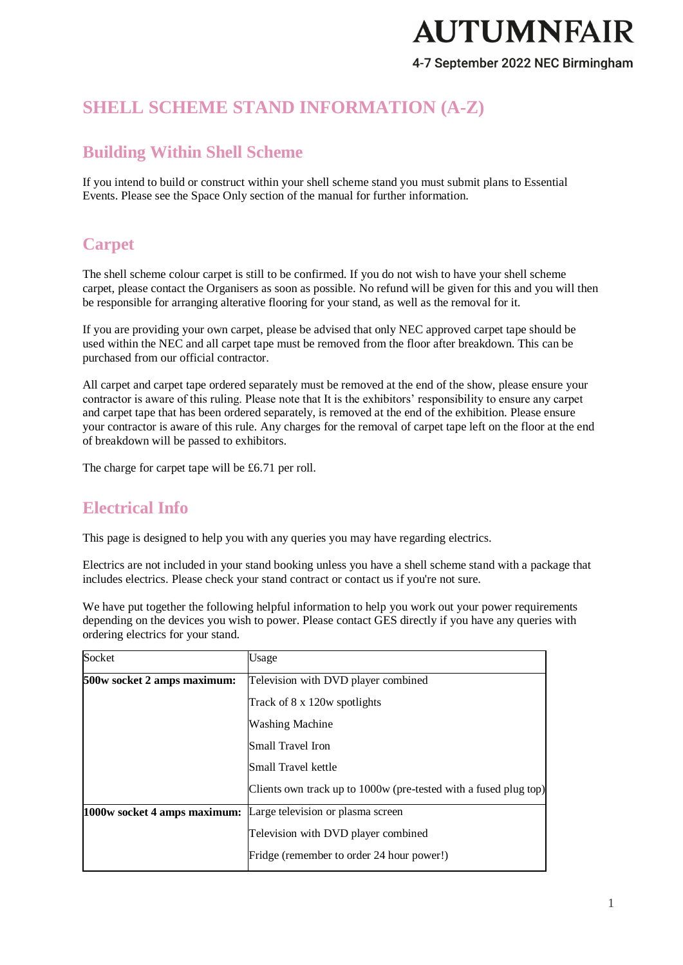4-7 September 2022 NEC Birmingham

# **SHELL SCHEME STAND INFORMATION (A-Z)**

# **Building Within Shell Scheme**

If you intend to build or construct within your shell scheme stand you must submit plans to Essential Events. Please see the Space Only section of the manual for further information.

# **Carpet**

The shell scheme colour carpet is still to be confirmed. If you do not wish to have your shell scheme carpet, please contact the Organisers as soon as possible. No refund will be given for this and you will then be responsible for arranging alterative flooring for your stand, as well as the removal for it.

If you are providing your own carpet, please be advised that only NEC approved carpet tape should be used within the NEC and all carpet tape must be removed from the floor after breakdown. This can be purchased from our official contractor.

All carpet and carpet tape ordered separately must be removed at the end of the show, please ensure your contractor is aware of this ruling. Please note that It is the exhibitors' responsibility to ensure any carpet and carpet tape that has been ordered separately, is removed at the end of the exhibition. Please ensure your contractor is aware of this rule. Any charges for the removal of carpet tape left on the floor at the end of breakdown will be passed to exhibitors.

The charge for carpet tape will be £6.71 per roll.

## **Electrical Info**

This page is designed to help you with any queries you may have regarding electrics.

Electrics are not included in your stand booking unless you have a shell scheme stand with a package that includes electrics. Please check your stand contract or contact us if you're not sure.

We have put together the following helpful information to help you work out your power requirements depending on the devices you wish to power. Please contact GES directly if you have any queries with ordering electrics for your stand.

| Socket                       | Usage                                                            |
|------------------------------|------------------------------------------------------------------|
| 500w socket 2 amps maximum:  | Television with DVD player combined                              |
|                              | Track of 8 x 120w spotlights                                     |
|                              | <b>Washing Machine</b>                                           |
|                              | Small Travel Iron                                                |
|                              | Small Travel kettle                                              |
|                              | Clients own track up to 1000w (pre-tested with a fused plug top) |
| 1000w socket 4 amps maximum: | Large television or plasma screen                                |
|                              | Television with DVD player combined                              |
|                              | Fridge (remember to order 24 hour power!)                        |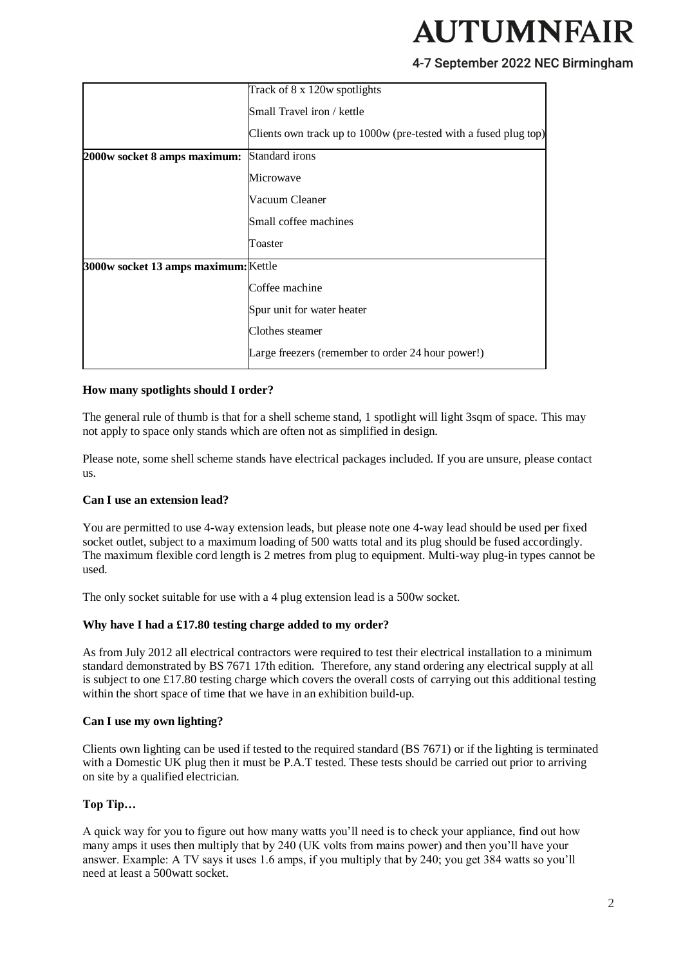#### 4-7 September 2022 NEC Birmingham

|                                      | Track of 8 x 120w spotlights                                     |
|--------------------------------------|------------------------------------------------------------------|
|                                      | Small Travel iron / kettle                                       |
|                                      | Clients own track up to 1000w (pre-tested with a fused plug top) |
| 2000w socket 8 amps maximum:         | Standard irons                                                   |
|                                      | Microwave                                                        |
|                                      | Vacuum Cleaner                                                   |
|                                      | Small coffee machines                                            |
|                                      | Toaster                                                          |
| 3000w socket 13 amps maximum: Kettle |                                                                  |
|                                      | Coffee machine                                                   |
|                                      | Spur unit for water heater                                       |
|                                      | Clothes steamer                                                  |
|                                      | Large freezers (remember to order 24 hour power!)                |

#### **How many spotlights should I order?**

The general rule of thumb is that for a shell scheme stand, 1 spotlight will light 3sqm of space. This may not apply to space only stands which are often not as simplified in design.

Please note, some shell scheme stands have electrical packages included. If you are unsure, please contact us.

#### **Can I use an extension lead?**

You are permitted to use 4-way extension leads, but please note one 4-way lead should be used per fixed socket outlet, subject to a maximum loading of 500 watts total and its plug should be fused accordingly. The maximum flexible cord length is 2 metres from plug to equipment. Multi-way plug-in types cannot be used.

The only socket suitable for use with a 4 plug extension lead is a 500w socket.

#### **Why have I had a £17.80 testing charge added to my order?**

As from July 2012 all electrical contractors were required to test their electrical installation to a minimum standard demonstrated by BS 7671 17th edition. Therefore, any stand ordering any electrical supply at all is subject to one £17.80 testing charge which covers the overall costs of carrying out this additional testing within the short space of time that we have in an exhibition build-up.

#### **Can I use my own lighting?**

Clients own lighting can be used if tested to the required standard (BS 7671) or if the lighting is terminated with a Domestic UK plug then it must be P.A.T tested. These tests should be carried out prior to arriving on site by a qualified electrician.

#### **Top Tip…**

A quick way for you to figure out how many watts you'll need is to check your appliance, find out how many amps it uses then multiply that by 240 (UK volts from mains power) and then you'll have your answer. Example: A TV says it uses 1.6 amps, if you multiply that by 240; you get 384 watts so you'll need at least a 500watt socket.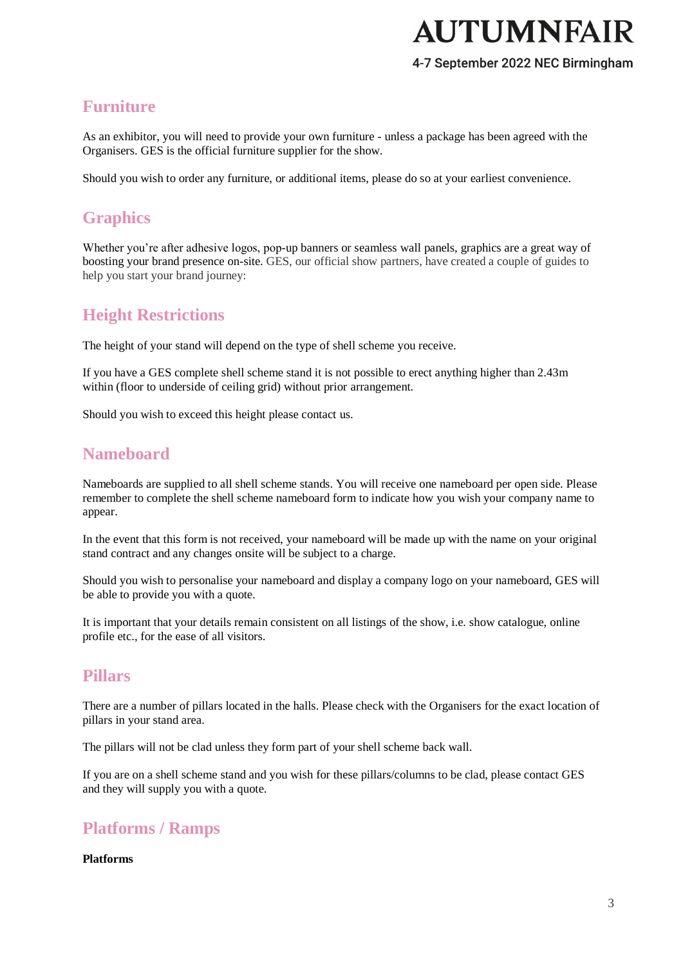#### 4-7 September 2022 NEC Birmingham

## **Furniture**

As an exhibitor, you will need to provide your own furniture - unless a package has been agreed with the Organisers. GES is the official furniture supplier for the show.

Should you wish to order any furniture, or additional items, please do so at your earliest convenience.

## **Graphics**

Whether you're after adhesive logos, pop-up banners or seamless wall panels, graphics are a great way of boosting your brand presence on-site. GES, our official show partners, have created a couple of guides to help you start your brand journey:

## **Height Restrictions**

The height of your stand will depend on the type of shell scheme you receive.

If you have a GES complete shell scheme stand it is not possible to erect anything higher than 2.43m within (floor to underside of ceiling grid) without prior arrangement.

Should you wish to exceed this height please contact us.

## **Nameboard**

Nameboards are supplied to all shell scheme stands. You will receive one nameboard per open side. Please remember to complete the shell scheme nameboard form to indicate how you wish your company name to appear.

In the event that this form is not received, your nameboard will be made up with the name on your original stand contract and any changes onsite will be subject to a charge.

Should you wish to personalise your nameboard and display a company logo on your nameboard, GES will be able to provide you with a quote.

It is important that your details remain consistent on all listings of the show, i.e. show catalogue, online profile etc., for the ease of all visitors.

### **Pillars**

There are a number of pillars located in the halls. Please check with the Organisers for the exact location of pillars in your stand area.

The pillars will not be clad unless they form part of your shell scheme back wall.

If you are on a shell scheme stand and you wish for these pillars/columns to be clad, please contact GES and they will supply you with a quote.

## **Platforms / Ramps**

#### **Platforms**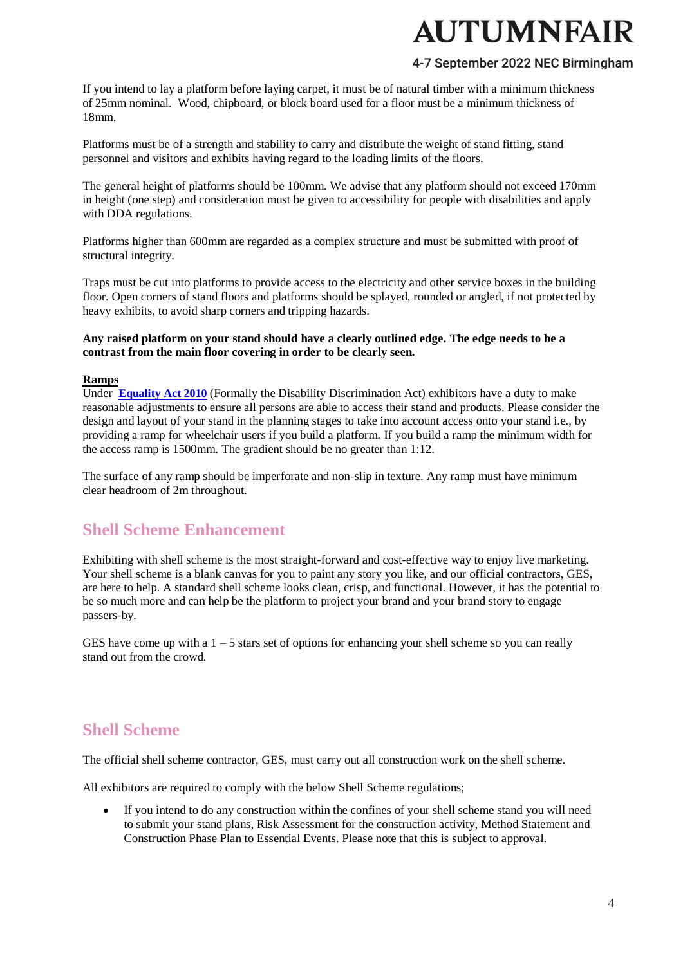### 4-7 September 2022 NEC Birmingham

If you intend to lay a platform before laying carpet, it must be of natural timber with a minimum thickness of 25mm nominal. Wood, chipboard, or block board used for a floor must be a minimum thickness of 18mm.

Platforms must be of a strength and stability to carry and distribute the weight of stand fitting, stand personnel and visitors and exhibits having regard to the loading limits of the floors.

The general height of platforms should be 100mm. We advise that any platform should not exceed 170mm in height (one step) and consideration must be given to accessibility for people with disabilities and apply with DDA regulations.

Platforms higher than 600mm are regarded as a complex structure and must be submitted with proof of structural integrity.

Traps must be cut into platforms to provide access to the electricity and other service boxes in the building floor. Open corners of stand floors and platforms should be splayed, rounded or angled, if not protected by heavy exhibits, to avoid sharp corners and tripping hazards.

#### **Any raised platform on your stand should have a clearly outlined edge. The edge needs to be a contrast from the main floor covering in order to be clearly seen.**

#### **Ramps**

Under **[Equality Act 2010](https://www.legislation.gov.uk/ukpga/2010/15/contents)** (Formally the Disability Discrimination Act) exhibitors have a duty to make reasonable adjustments to ensure all persons are able to access their stand and products. Please consider the design and layout of your stand in the planning stages to take into account access onto your stand i.e., by providing a ramp for wheelchair users if you build a platform. If you build a ramp the minimum width for the access ramp is 1500mm. The gradient should be no greater than 1:12.

The surface of any ramp should be imperforate and non-slip in texture. Any ramp must have minimum clear headroom of 2m throughout.

### **Shell Scheme Enhancement**

Exhibiting with shell scheme is the most straight-forward and cost-effective way to enjoy live marketing. Your shell scheme is a blank canvas for you to paint any story you like, and our official contractors, GES, are here to help. A standard shell scheme looks clean, crisp, and functional. However, it has the potential to be so much more and can help be the platform to project your brand and your brand story to engage passers-by.

GES have come up with a  $1 - 5$  stars set of options for enhancing your shell scheme so you can really stand out from the crowd.

### **Shell Scheme**

The official shell scheme contractor, GES, must carry out all construction work on the shell scheme.

All exhibitors are required to comply with the below Shell Scheme regulations;

 If you intend to do any construction within the confines of your shell scheme stand you will need to submit your stand plans, Risk Assessment for the construction activity, Method Statement and Construction Phase Plan to Essential Events. Please note that this is subject to approval.